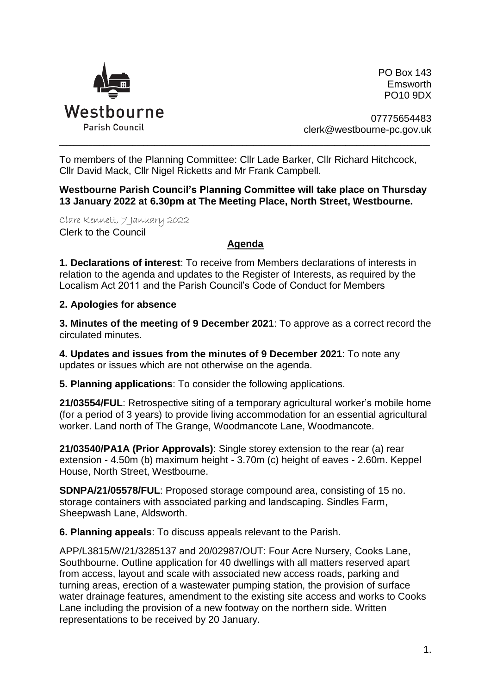

PO Box 143 Emsworth PO10 9DX

07775654483 clerk@westbourne-pc.gov.uk

To members of the Planning Committee: Cllr Lade Barker, Cllr Richard Hitchcock, Cllr David Mack, Cllr Nigel Ricketts and Mr Frank Campbell.

\_\_\_\_\_\_\_\_\_\_\_\_\_\_\_\_\_\_\_\_\_\_\_\_\_\_\_\_\_\_\_\_\_\_\_\_\_\_\_\_\_\_\_\_\_\_\_\_\_\_\_\_\_\_\_\_\_\_\_\_\_\_\_\_\_\_\_\_\_\_\_\_\_\_\_\_\_\_\_\_\_\_\_\_\_\_\_\_\_\_\_\_\_\_\_\_\_\_\_\_\_

**Westbourne Parish Council's Planning Committee will take place on Thursday 13 January 2022 at 6.30pm at The Meeting Place, North Street, Westbourne.** 

Clare Kennett, 7 January 2022 Clerk to the Council

## **Agenda**

**1. Declarations of interest**: To receive from Members declarations of interests in relation to the agenda and updates to the Register of Interests, as required by the Localism Act 2011 and the Parish Council's Code of Conduct for Members

## **2. Apologies for absence**

**3. Minutes of the meeting of 9 December 2021**: To approve as a correct record the circulated minutes.

**4. Updates and issues from the minutes of 9 December 2021**: To note any updates or issues which are not otherwise on the agenda.

**5. Planning applications**: To consider the following applications.

**21/03554/FUL**: Retrospective siting of a temporary agricultural worker's mobile home (for a period of 3 years) to provide living accommodation for an essential agricultural worker. Land north of The Grange, Woodmancote Lane, Woodmancote.

**21/03540/PA1A (Prior Approvals)**: Single storey extension to the rear (a) rear extension - 4.50m (b) maximum height - 3.70m (c) height of eaves - 2.60m. Keppel House, North Street, Westbourne.

**SDNPA/21/05578/FUL**: Proposed storage compound area, consisting of 15 no. storage containers with associated parking and landscaping. Sindles Farm, Sheepwash Lane, Aldsworth.

**6. Planning appeals**: To discuss appeals relevant to the Parish.

APP/L3815/W/21/3285137 and 20/02987/OUT: Four Acre Nursery, Cooks Lane, Southbourne. Outline application for 40 dwellings with all matters reserved apart from access, layout and scale with associated new access roads, parking and turning areas, erection of a wastewater pumping station, the provision of surface water drainage features, amendment to the existing site access and works to Cooks Lane including the provision of a new footway on the northern side. Written representations to be received by 20 January.